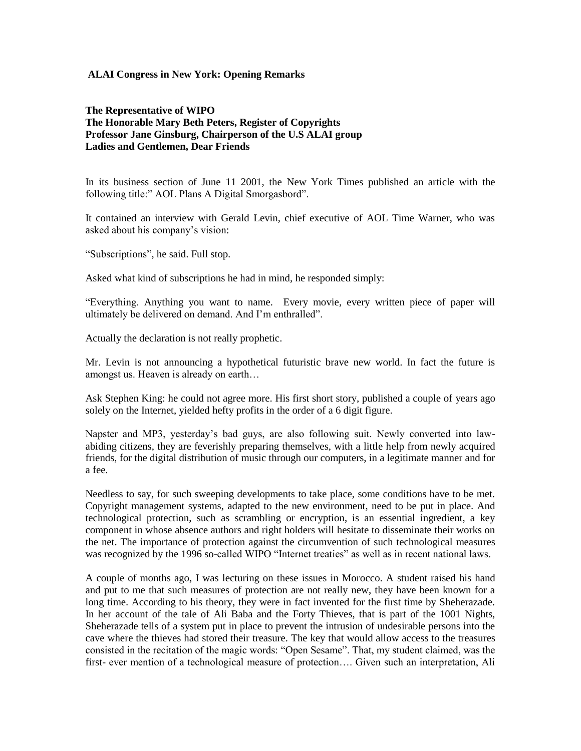## **ALAI Congress in New York: Opening Remarks**

## **The Representative of WIPO The Honorable Mary Beth Peters, Register of Copyrights Professor Jane Ginsburg, Chairperson of the U.S ALAI group Ladies and Gentlemen, Dear Friends**

In its business section of June 11 2001, the New York Times published an article with the following title:" AOL Plans A Digital Smorgasbord".

It contained an interview with Gerald Levin, chief executive of AOL Time Warner, who was asked about his company's vision:

"Subscriptions", he said. Full stop.

Asked what kind of subscriptions he had in mind, he responded simply:

"Everything. Anything you want to name. Every movie, every written piece of paper will ultimately be delivered on demand. And I'm enthralled".

Actually the declaration is not really prophetic.

Mr. Levin is not announcing a hypothetical futuristic brave new world. In fact the future is amongst us. Heaven is already on earth…

Ask Stephen King: he could not agree more. His first short story, published a couple of years ago solely on the Internet, yielded hefty profits in the order of a 6 digit figure.

Napster and MP3, yesterday's bad guys, are also following suit. Newly converted into lawabiding citizens, they are feverishly preparing themselves, with a little help from newly acquired friends, for the digital distribution of music through our computers, in a legitimate manner and for a fee.

Needless to say, for such sweeping developments to take place, some conditions have to be met. Copyright management systems, adapted to the new environment, need to be put in place. And technological protection, such as scrambling or encryption, is an essential ingredient, a key component in whose absence authors and right holders will hesitate to disseminate their works on the net. The importance of protection against the circumvention of such technological measures was recognized by the 1996 so-called WIPO "Internet treaties" as well as in recent national laws.

A couple of months ago, I was lecturing on these issues in Morocco. A student raised his hand and put to me that such measures of protection are not really new, they have been known for a long time. According to his theory, they were in fact invented for the first time by Sheherazade. In her account of the tale of Ali Baba and the Forty Thieves, that is part of the 1001 Nights, Sheherazade tells of a system put in place to prevent the intrusion of undesirable persons into the cave where the thieves had stored their treasure. The key that would allow access to the treasures consisted in the recitation of the magic words: "Open Sesame". That, my student claimed, was the first- ever mention of a technological measure of protection…. Given such an interpretation, Ali